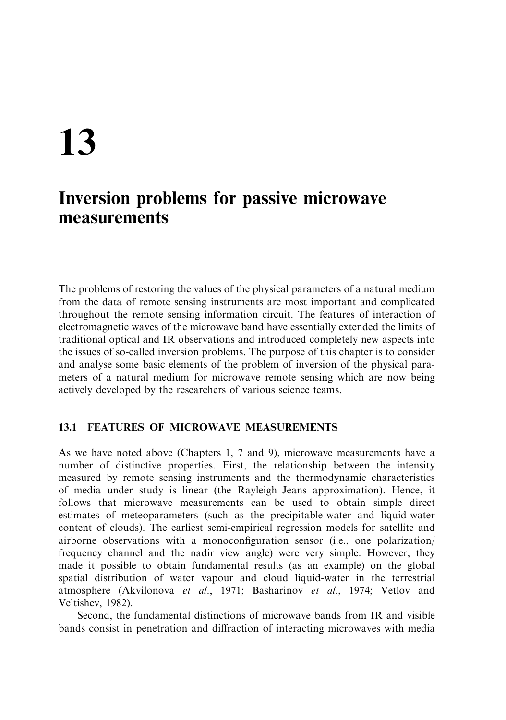# 13

## Inversion problems for passive microwave measurements

The problems of restoring the values of the physical parameters of a natural medium from the data of remote sensing instruments are most important and complicated throughout the remote sensing information circuit. The features of interaction of electromagnetic waves of the microwave band have essentially extended the limits of traditional optical and IR observations and introduced completely new aspects into the issues of so-called inversion problems. The purpose of this chapter is to consider and analyse some basic elements of the problem of inversion of the physical parameters of a natural medium for microwave remote sensing which are now being actively developed by the researchers of various science teams.

#### $13.1$ **FEATURES OF MICROWAVE MEASUREMENTS**

As we have noted above (Chapters 1, 7 and 9), microwave measurements have a number of distinctive properties. First, the relationship between the intensity measured by remote sensing instruments and the thermodynamic characteristics of media under study is linear (the Rayleigh–Jeans approximation). Hence, it follows that microwave measurements can be used to obtain simple direct estimates of meteoparameters (such as the precipitable-water and liquid-water content of clouds). The earliest semi-empirical regression models for satellite and airborne observations with a monoconfiguration sensor (i.e., one polarization) frequency channel and the nadir view angle) were very simple. However, they made it possible to obtain fundamental results (as an example) on the global spatial distribution of water vapour and cloud liquid-water in the terrestrial atmosphere (Akvilonova et al., 1971; Basharinov et al., 1974; Vetlov and Veltishev, 1982).

Second, the fundamental distinctions of microwave bands from IR and visible bands consist in penetration and diffraction of interacting microwaves with media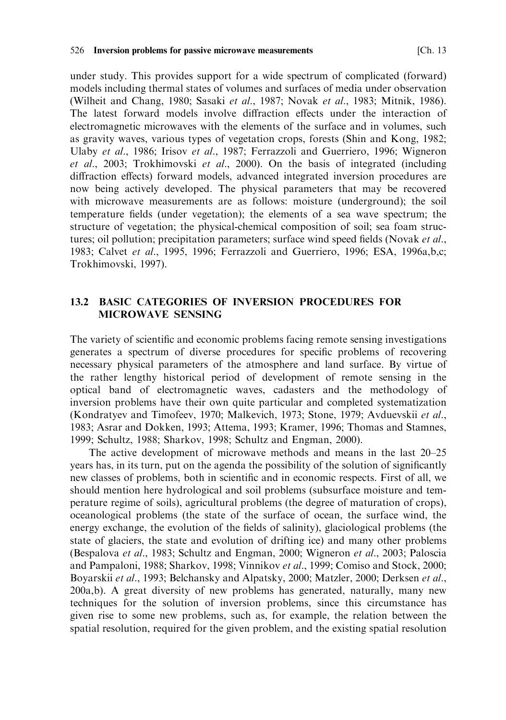under study. This provides support for a wide spectrum of complicated (forward) models including thermal states of volumes and surfaces of media under observation (Wilheit and Chang, 1980; Sasaki et al., 1987; Novak et al., 1983; Mitnik, 1986). The latest forward models involve diffraction effects under the interaction of electromagnetic microwaves with the elements of the surface and in volumes, such as gravity waves, various types of vegetation crops, forests (Shin and Kong, 1982; Ulaby et al., 1986; Irisov et al., 1987; Ferrazzoli and Guerriero, 1996; Wigneron et al., 2003; Trokhimovski et al., 2000). On the basis of integrated (including diffraction effects) forward models, advanced integrated inversion procedures are now being actively developed. The physical parameters that may be recovered with microwave measurements are as follows: moisture (underground); the soil temperature fields (under vegetation); the elements of a sea wave spectrum; the structure of vegetation; the physical-chemical composition of soil; sea foam structures; oil pollution; precipitation parameters; surface wind speed fields (Novak et al., 1983; Calvet et al., 1995, 1996; Ferrazzoli and Guerriero, 1996; ESA, 1996a,b.c; Trokhimovski, 1997).

## **13.2 BASIC CATEGORIES OF INVERSION PROCEDURES FOR MICROWAVE SENSING**

The variety of scientific and economic problems facing remote sensing investigations generates a spectrum of diverse procedures for specific problems of recovering necessary physical parameters of the atmosphere and land surface. By virtue of the rather lengthy historical period of development of remote sensing in the optical band of electromagnetic waves, cadasters and the methodology of inversion problems have their own quite particular and completed systematization (Kondratyev and Timofeev, 1970; Malkevich, 1973; Stone, 1979; Avduevskii et al., 1983; Asrar and Dokken, 1993; Attema, 1993; Kramer, 1996; Thomas and Stamnes, 1999; Schultz, 1988; Sharkov, 1998; Schultz and Engman, 2000).

The active development of microwave methods and means in the last 20–25 years has, in its turn, put on the agenda the possibility of the solution of significantly new classes of problems, both in scientific and in economic respects. First of all, we should mention here hydrological and soil problems (subsurface moisture and temperature regime of soils), agricultural problems (the degree of maturation of crops), oceanological problems (the state of the surface of ocean, the surface wind, the energy exchange, the evolution of the fields of salinity), glaciological problems (the state of glaciers, the state and evolution of drifting ice) and many other problems (Bespalova et al., 1983; Schultz and Engman, 2000; Wigneron et al., 2003; Paloscia and Pampaloni, 1988; Sharkov, 1998; Vinnikov et al., 1999; Comiso and Stock, 2000; Boyarskii et al., 1993; Belchansky and Alpatsky, 2000; Matzler, 2000; Derksen et al., 200a,b). A great diversity of new problems has generated, naturally, many new techniques for the solution of inversion problems, since this circumstance has given rise to some new problems, such as, for example, the relation between the spatial resolution, required for the given problem, and the existing spatial resolution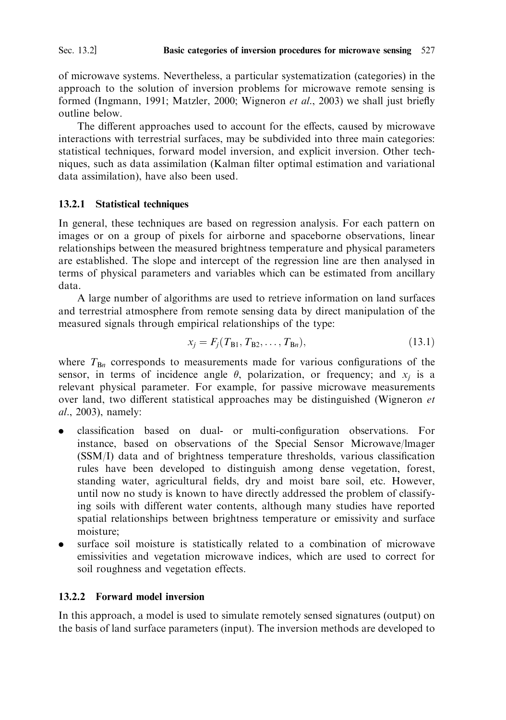of microwave systems. Nevertheless, a particular systematization (categories) in the approach to the solution of inversion problems for microwave remote sensing is formed (Ingmann, 1991; Matzler, 2000; Wigneron et al., 2003) we shall just briefly outline below.

The different approaches used to account for the effects, caused by microwave interactions with terrestrial surfaces, may be subdivided into three main categories: statistical techniques, forward model inversion, and explicit inversion. Other techniques, such as data assimilation (Kalman filter optimal estimation and variational data assimilation), have also been used.

## 13.2.1 Statistical techniques

In general, these techniques are based on regression analysis. For each pattern on images or on a group of pixels for airborne and spaceborne observations, linear relationships between the measured brightness temperature and physical parameters are established. The slope and intercept of the regression line are then analysed in terms of physical parameters and variables which can be estimated from ancillary data

A large number of algorithms are used to retrieve information on land surfaces and terrestrial atmosphere from remote sensing data by direct manipulation of the measured signals through empirical relationships of the type:

$$
x_j = F_j(T_{B1}, T_{B2}, \dots, T_{Bn}),\tag{13.1}
$$

where  $T_{Bn}$  corresponds to measurements made for various configurations of the sensor, in terms of incidence angle  $\theta$ , polarization, or frequency; and  $x_i$  is a relevant physical parameter. For example, for passive microwave measurements over land, two different statistical approaches may be distinguished (Wigneron et *al.*, 2003), namely:

- classification based on dual- or multi-configuration observations. For instance, based on observations of the Special Sensor Microwave/lmager (SSM/I) data and of brightness temperature thresholds, various classification rules have been developed to distinguish among dense vegetation, forest, standing water, agricultural fields, dry and moist bare soil, etc. However, until now no study is known to have directly addressed the problem of classifying soils with different water contents, although many studies have reported spatial relationships between brightness temperature or emissivity and surface moisture;
- surface soil moisture is statistically related to a combination of microwave emissivities and vegetation microwave indices, which are used to correct for soil roughness and vegetation effects.

## 13.2.2 Forward model inversion

In this approach, a model is used to simulate remotely sensed signatures (output) on the basis of land surface parameters (input). The inversion methods are developed to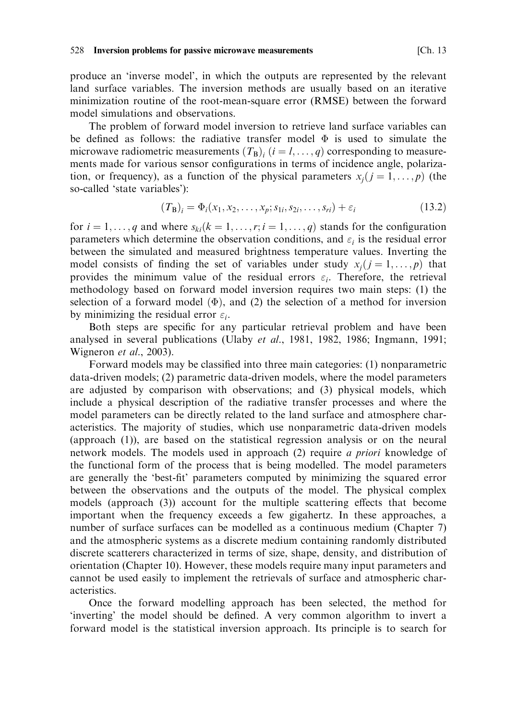#### 528 Inversion problems for passive microwave measurements

produce an 'inverse model', in which the outputs are represented by the relevant land surface variables. The inversion methods are usually based on an iterative minimization routine of the root-mean-square error (RMSE) between the forward model simulations and observations.

The problem of forward model inversion to retrieve land surface variables can be defined as follows: the radiative transfer model  $\Phi$  is used to simulate the microwave radiometric measurements  $(T_B)$ ,  $(i = l, ..., q)$  corresponding to measurements made for various sensor configurations in terms of incidence angle, polarization, or frequency), as a function of the physical parameters  $x_i$  ( $j = 1, ..., p$ ) (the so-called 'state variables'):

$$
(T_{\mathbf{B}})_i = \Phi_i(x_1, x_2, \dots, x_p; s_{1i}, s_{2i}, \dots, s_{ri}) + \varepsilon_i
$$
\n(13.2)

for  $i = 1, ..., q$  and where  $s_{ki}(k = 1, ..., r; i = 1, ..., q)$  stands for the configuration parameters which determine the observation conditions, and  $\varepsilon_i$  is the residual error between the simulated and measured brightness temperature values. Inverting the model consists of finding the set of variables under study  $x_i$  ( $j = 1, ..., p$ ) that provides the minimum value of the residual errors  $\varepsilon_i$ . Therefore, the retrieval methodology based on forward model inversion requires two main steps: (1) the selection of a forward model  $(\Phi)$ , and (2) the selection of a method for inversion by minimizing the residual error  $\varepsilon_i$ .

Both steps are specific for any particular retrieval problem and have been analysed in several publications (Ulaby et al., 1981, 1982, 1986; Ingmann, 1991; Wigneron et al., 2003).

Forward models may be classified into three main categories: (1) nonparametric data-driven models; (2) parametric data-driven models, where the model parameters are adjusted by comparison with observations; and (3) physical models, which include a physical description of the radiative transfer processes and where the model parameters can be directly related to the land surface and atmosphere characteristics. The majority of studies, which use nonparametric data-driven models (approach (1)), are based on the statistical regression analysis or on the neural network models. The models used in approach (2) require *a priori* knowledge of the functional form of the process that is being modelled. The model parameters are generally the 'best-fit' parameters computed by minimizing the squared error between the observations and the outputs of the model. The physical complex models (approach (3)) account for the multiple scattering effects that become important when the frequency exceeds a few gigahertz. In these approaches, a number of surface surfaces can be modelled as a continuous medium (Chapter 7) and the atmospheric systems as a discrete medium containing randomly distributed discrete scatterers characterized in terms of size, shape, density, and distribution of orientation (Chapter 10). However, these models require many input parameters and cannot be used easily to implement the retrievals of surface and atmospheric characteristics.

Once the forward modelling approach has been selected, the method for 'inverting' the model should be defined. A very common algorithm to invert a forward model is the statistical inversion approach. Its principle is to search for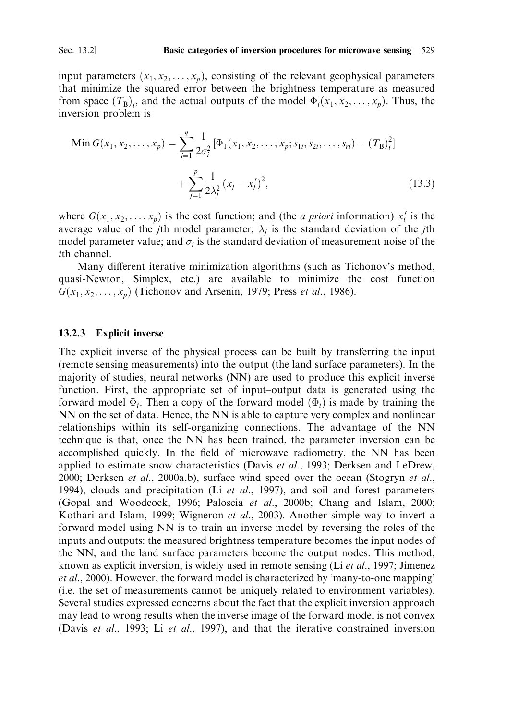Sec. 13.2]

input parameters  $(x_1, x_2, \ldots, x_n)$ , consisting of the relevant geophysical parameters that minimize the squared error between the brightness temperature as measured from space  $(T_B)_i$ , and the actual outputs of the model  $\Phi_i(x_1, x_2, \dots, x_p)$ . Thus, the inversion problem is

Min 
$$
G(x_1, x_2, ..., x_p) = \sum_{i=1}^{q} \frac{1}{2\sigma_i^2} [\Phi_1(x_1, x_2, ..., x_p; s_{1i}, s_{2i}, ..., s_{ri}) - (T_B)_i^2]
$$
  
 
$$
+ \sum_{j=1}^{p} \frac{1}{2\lambda_j^2} (x_j - x_j')^2,
$$
 (13.3)

where  $G(x_1, x_2, \ldots, x_n)$  is the cost function; and (the *a priori* information)  $x'_i$  is the average value of the jth model parameter;  $\lambda_i$  is the standard deviation of the jth model parameter value; and  $\sigma_i$  is the standard deviation of measurement noise of the *ith* channel.

Many different iterative minimization algorithms (such as Tichonov's method, quasi-Newton, Simplex, etc.) are available to minimize the cost function  $G(x_1, x_2, \ldots, x_p)$  (Tichonov and Arsenin, 1979; Press *et al.*, 1986).

#### 13.2.3 **Explicit inverse**

The explicit inverse of the physical process can be built by transferring the input (remote sensing measurements) into the output (the land surface parameters). In the majority of studies, neural networks (NN) are used to produce this explicit inverse function. First, the appropriate set of input-output data is generated using the forward model  $\Phi_i$ . Then a copy of the forward model  $(\Phi_i)$  is made by training the NN on the set of data. Hence, the NN is able to capture very complex and nonlinear relationships within its self-organizing connections. The advantage of the NN technique is that, once the NN has been trained, the parameter inversion can be accomplished quickly. In the field of microwave radiometry, the NN has been applied to estimate snow characteristics (Davis et al., 1993; Derksen and LeDrew, 2000; Derksen et al., 2000a,b), surface wind speed over the ocean (Stogryn et al., 1994), clouds and precipitation (Li et al., 1997), and soil and forest parameters (Gopal and Woodcock, 1996; Paloscia et al., 2000b; Chang and Islam, 2000; Kothari and Islam, 1999; Wigneron et al., 2003). Another simple way to invert a forward model using NN is to train an inverse model by reversing the roles of the inputs and outputs: the measured brightness temperature becomes the input nodes of the NN, and the land surface parameters become the output nodes. This method, known as explicit inversion, is widely used in remote sensing (Li et al., 1997; Jimenez *et al.*, 2000). However, the forward model is characterized by 'many-to-one mapping' (i.e. the set of measurements cannot be uniquely related to environment variables). Several studies expressed concerns about the fact that the explicit inversion approach may lead to wrong results when the inverse image of the forward model is not convex (Davis et al., 1993; Li et al., 1997), and that the iterative constrained inversion